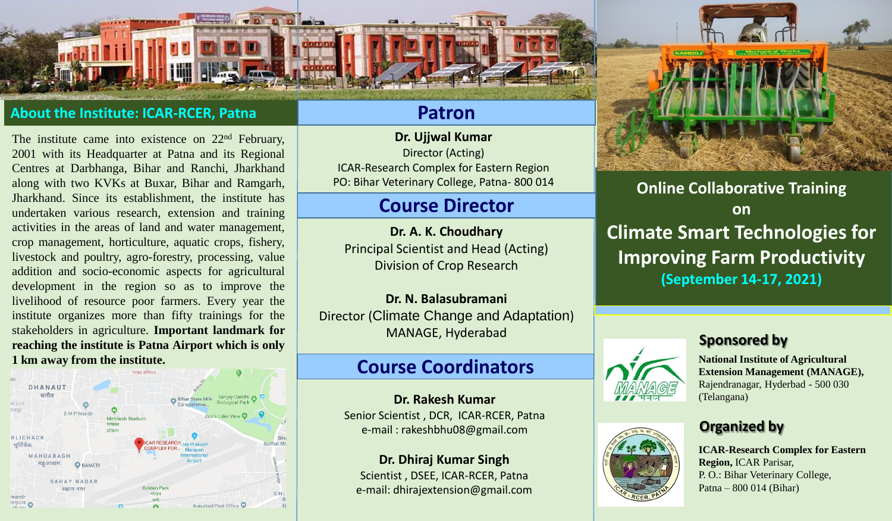## **About the Institute: ICAR-RCER, Patna**

The institute came into existence on 22<sup>nd</sup> February, 2001 with its Headquarter at Patna and its Regional Centres at Darbhanga, Bihar and Ranchi, Jharkhand along with two KVKs at Buxar, Bihar and Ramgarh, Jharkhand. Since its establishment, the institute has undertaken various research, extension and training activities in the areas of land and water management, crop management, horticulture, aquatic crops, fishery, livestock and poultry, agro-forestry, processing, value addition and socio-economic aspects for agricultural development in the region so as to improve the livelihood of resource poor farmers. Every year the institute organizes more than fifty trainings for the stakeholders in agriculture. **Important landmark for reaching the institute is Patna Airport which is only 1 km away from the institute.**



## **Patron**

**Dr. Ujjwal Kumar** Director (Acting) ICAR-Research Complex for Eastern Region PO: Bihar Veterinary College, Patna- 800 014

# **Course Director**

**Dr. A. K. Choudhary** Principal Scientist and Head (Acting) Division of Crop Research

**Dr. N. Balasubramani** Director (Climate Change and Adaptation) MANAGE, Hyderabad

# **Course Coordinators**

**Dr. Rakesh Kumar** Senior Scientist , DCR, ICAR-RCER, Patna e-mail : rakeshbhu08@gmail.com

**Dr. Dhiraj Kumar Singh** Scientist , DSEE, ICAR-RCER, Patna e-mail: dhirajextension@gmail.com



**Online Collaborative Training on Climate Smart Technologies for Improving Farm Productivity (September 14-17, 2021)**

#### **Sponsored by**





**National Institute of Agricultural Extension Management (MANAGE),** Rajendranagar, Hyderbad - 500 030 (Telangana)

## **Organized by**

**ICAR-Research Complex for Eastern Region,** ICAR Parisar, P. O.: Bihar Veterinary College, Patna – 800 014 (Bihar)